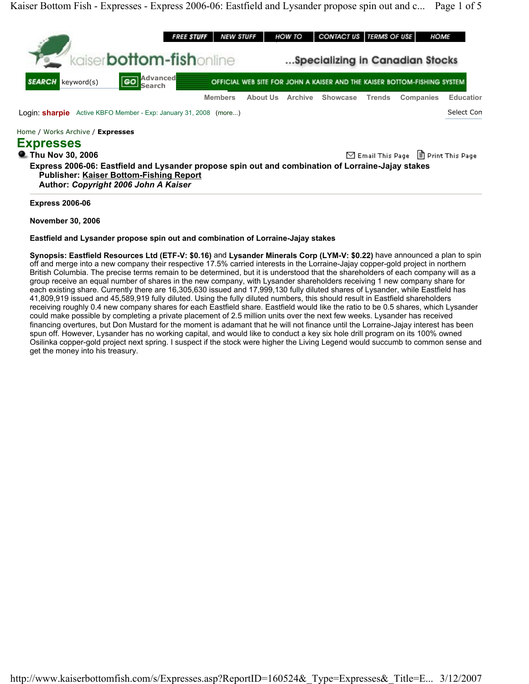

**Express 2006-06: Eastfield and Lysander propose spin out and combination of Lorraine-Jajay stakes Publisher: Kaiser Bottom-Fishing Report Author:** *Copyright 2006 John A Kaiser*

**Express 2006-06** 

**November 30, 2006** 

## **Eastfield and Lysander propose spin out and combination of Lorraine-Jajay stakes**

**Synopsis: Eastfield Resources Ltd (ETF-V: \$0.16)** and **Lysander Minerals Corp (LYM-V: \$0.22)** have announced a plan to spin off and merge into a new company their respective 17.5% carried interests in the Lorraine-Jajay copper-gold project in northern British Columbia. The precise terms remain to be determined, but it is understood that the shareholders of each company will as a group receive an equal number of shares in the new company, with Lysander shareholders receiving 1 new company share for each existing share. Currently there are 16,305,630 issued and 17,999,130 fully diluted shares of Lysander, while Eastfield has 41,809,919 issued and 45,589,919 fully diluted. Using the fully diluted numbers, this should result in Eastfield shareholders receiving roughly 0.4 new company shares for each Eastfield share. Eastfield would like the ratio to be 0.5 shares, which Lysander could make possible by completing a private placement of 2.5 million units over the next few weeks. Lysander has received financing overtures, but Don Mustard for the moment is adamant that he will not finance until the Lorraine-Jajay interest has been spun off. However, Lysander has no working capital, and would like to conduct a key six hole drill program on its 100% owned Osilinka copper-gold project next spring. I suspect if the stock were higher the Living Legend would succumb to common sense and get the money into his treasury.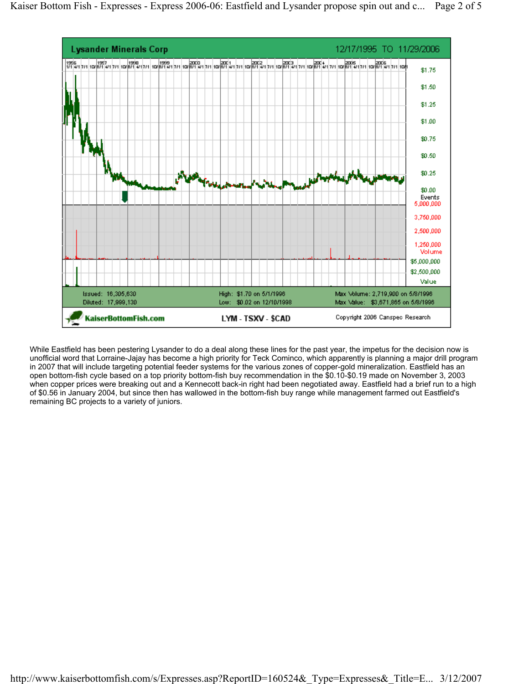

While Eastfield has been pestering Lysander to do a deal along these lines for the past year, the impetus for the decision now is unofficial word that Lorraine-Jajay has become a high priority for Teck Cominco, which apparently is planning a major drill program in 2007 that will include targeting potential feeder systems for the various zones of copper-gold mineralization. Eastfield has an open bottom-fish cycle based on a top priority bottom-fish buy recommendation in the \$0.10-\$0.19 made on November 3, 2003 when copper prices were breaking out and a Kennecott back-in right had been negotiated away. Eastfield had a brief run to a high of \$0.56 in January 2004, but since then has wallowed in the bottom-fish buy range while management farmed out Eastfield's remaining BC projects to a variety of juniors.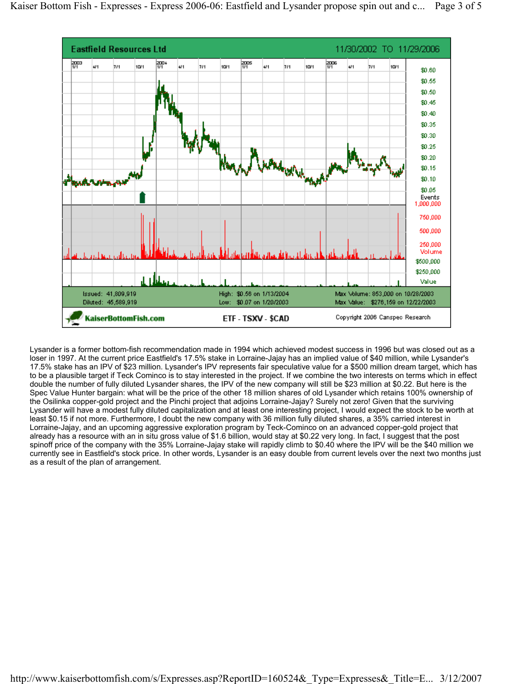

Lysander is a former bottom-fish recommendation made in 1994 which achieved modest success in 1996 but was closed out as a loser in 1997. At the current price Eastfield's 17.5% stake in Lorraine-Jajay has an implied value of \$40 million, while Lysander's 17.5% stake has an IPV of \$23 million. Lysander's IPV represents fair speculative value for a \$500 million dream target, which has to be a plausible target if Teck Cominco is to stay interested in the project. If we combine the two interests on terms which in effect double the number of fully diluted Lysander shares, the IPV of the new company will still be \$23 million at \$0.22. But here is the Spec Value Hunter bargain: what will be the price of the other 18 million shares of old Lysander which retains 100% ownership of the Osilinka copper-gold project and the Pinchi project that adjoins Lorraine-Jajay? Surely not zero! Given that the surviving Lysander will have a modest fully diluted capitalization and at least one interesting project, I would expect the stock to be worth at least \$0.15 if not more. Furthermore, I doubt the new company with 36 million fully diluted shares, a 35% carried interest in Lorraine-Jajay, and an upcoming aggressive exploration program by Teck-Cominco on an advanced copper-gold project that already has a resource with an in situ gross value of \$1.6 billion, would stay at \$0.22 very long. In fact, I suggest that the post spinoff price of the company with the 35% Lorraine-Jajay stake will rapidly climb to \$0.40 where the IPV will be the \$40 million we currently see in Eastfield's stock price. In other words, Lysander is an easy double from current levels over the next two months just as a result of the plan of arrangement.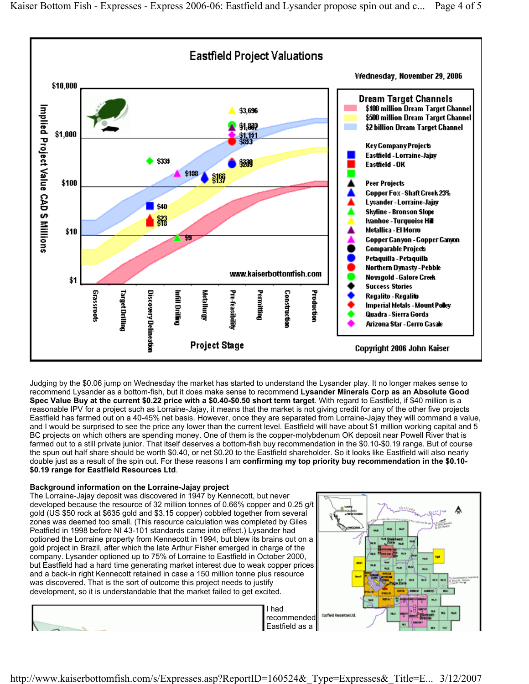

Judging by the \$0.06 jump on Wednesday the market has started to understand the Lysander play. It no longer makes sense to recommend Lysander as a bottom-fish, but it does make sense to recommend **Lysander Minerals Corp as an Absolute Good Spec Value Buy at the current \$0.22 price with a \$0.40-\$0.50 short term target**. With regard to Eastfield, if \$40 million is a reasonable IPV for a project such as Lorraine-Jajay, it means that the market is not giving credit for any of the other five projects Eastfield has farmed out on a 40-45% net basis. However, once they are separated from Lorraine-Jajay they will command a value, and I would be surprised to see the price any lower than the current level. Eastfield will have about \$1 million working capital and 5 BC projects on which others are spending money. One of them is the copper-molybdenum OK deposit near Powell River that is farmed out to a still private junior. That itself deserves a bottom-fish buy recommendation in the \$0.10-\$0.19 range. But of course the spun out half share should be worth \$0.40, or net \$0.20 to the Eastfield shareholder. So it looks like Eastfield will also nearly double just as a result of the spin out. For these reasons I am **confirming my top priority buy recommendation in the \$0.10- \$0.19 range for Eastfield Resources Ltd**.

## **Background information on the Lorraine-Jajay project**

The Lorraine-Jajay deposit was discovered in 1947 by Kennecott, but never developed because the resource of 32 million tonnes of 0.66% copper and 0.25 g/t gold (US \$50 rock at \$635 gold and \$3.15 copper) cobbled together from several zones was deemed too small. (This resource calculation was completed by Giles Peatfield in 1998 before NI 43-101 standards came into effect.) Lysander had optioned the Lorraine property from Kennecott in 1994, but blew its brains out on a gold project in Brazil, after which the late Arthur Fisher emerged in charge of the company. Lysander optioned up to 75% of Lorraine to Eastfield in October 2000, but Eastfield had a hard time generating market interest due to weak copper prices and a back-in right Kennecott retained in case a 150 million tonne plus resource was discovered. That is the sort of outcome this project needs to justify development, so it is understandable that the market failed to get excited.



I had recommended Eastfield as a